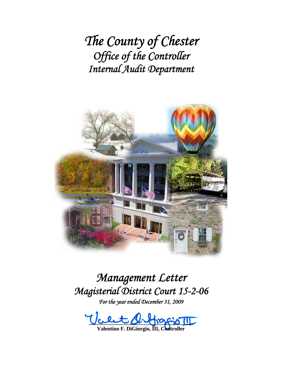*The County of Chester Office of the Controller Internal Audit Department*



# *Management Letter Magisterial District Court 15-2-06*

*For the year ended December 31, 2009* 

Valley of Mario 11

**Valentino F. DiGiorgio, III, Controller**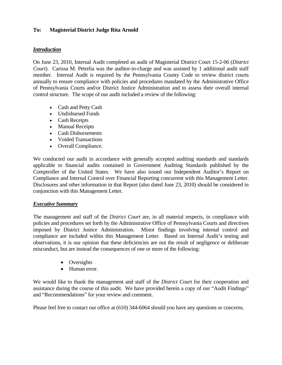## **To: Magisterial District Judge Rita Arnold**

#### *Introduction*

On June 23, 2010, Internal Audit completed an audit of Magisterial District Court 15-2-06 (*District Court*). Carissa M. Petrelia was the auditor-in-charge and was assisted by 1 additional audit staff member. Internal Audit is required by the Pennsylvania County Code to review district courts annually to ensure compliance with policies and procedures mandated by the Administrative Office of Pennsylvania Courts and/or District Justice Administration and to assess their overall internal control structure. The scope of our audit included a review of the following:

- Cash and Petty Cash
- Undisbursed Funds
- Cash Receipts
- Manual Receipts
- Cash Disbursements
- Voided Transactions
- Overall Compliance.

We conducted our audit in accordance with generally accepted auditing standards and standards applicable to financial audits contained in Government Auditing Standards published by the Comptroller of the United States. We have also issued our Independent Auditor's Report on Compliance and Internal Control over Financial Reporting concurrent with this Management Letter. Disclosures and other information in that Report (also dated June 23, 2010) should be considered in conjunction with this Management Letter.

#### *Executive Summary*

The management and staff of the *District Court* are, in all material respects, in compliance with policies and procedures set forth by the Administrative Office of Pennsylvania Courts and directives imposed by District Justice Administration. Minor findings involving internal control and compliance are included within this Management Letter. Based on Internal Audit's testing and observations, it is our opinion that these deficiencies are not the result of negligence or deliberate misconduct, but are instead the consequences of one or more of the following:

- Oversights
- Human error.

We would like to thank the management and staff of the *District Court* for their cooperation and assistance during the course of this audit. We have provided herein a copy of our "Audit Findings" and "Recommendations" for your review and comment.

Please feel free to contact our office at (610) 344-6064 should you have any questions or concerns.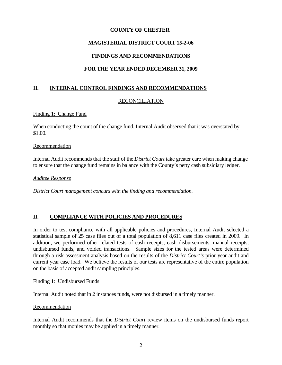## **COUNTY OF CHESTER**

# **MAGISTERIAL DISTRICT COURT 15-2-06**

# **FINDINGS AND RECOMMENDATIONS**

# **FOR THE YEAR ENDED DECEMBER 31, 2009**

## **II. INTERNAL CONTROL FINDINGS AND RECOMMENDATIONS**

## RECONCILIATION

#### Finding 1: Change Fund

When conducting the count of the change fund, Internal Audit observed that it was overstated by \$1.00.

#### **Recommendation**

Internal Audit recommends that the staff of the *District Court* take greater care when making change to ensure that the change fund remains in balance with the County's petty cash subsidiary ledger.

#### *Auditee Response*

*District Court management concurs with the finding and recommendation.* 

## **II. COMPLIANCE WITH POLICIES AND PROCEDURES**

In order to test compliance with all applicable policies and procedures, Internal Audit selected a statistical sample of 25 case files out of a total population of 8,611 case files created in 2009. In addition, we performed other related tests of cash receipts, cash disbursements, manual receipts, undisbursed funds, and voided transactions. Sample sizes for the tested areas were determined through a risk assessment analysis based on the results of the *District Court's* prior year audit and current year case load. We believe the results of our tests are representative of the entire population on the basis of accepted audit sampling principles.

#### Finding 1: Undisbursed Funds

Internal Audit noted that in 2 instances funds, were not disbursed in a timely manner.

#### Recommendation

Internal Audit recommends that the *District Court* review items on the undisbursed funds report monthly so that monies may be applied in a timely manner.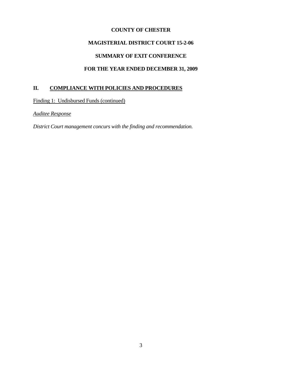## **COUNTY OF CHESTER**

# **MAGISTERIAL DISTRICT COURT 15-2-06**

# **SUMMARY OF EXIT CONFERENCE**

# **FOR THE YEAR ENDED DECEMBER 31, 2009**

# **II. COMPLIANCE WITH POLICIES AND PROCEDURES**

Finding 1: Undisbursed Funds (continued)

*Auditee Response*

*District Court management concurs with the finding and recommendation.*